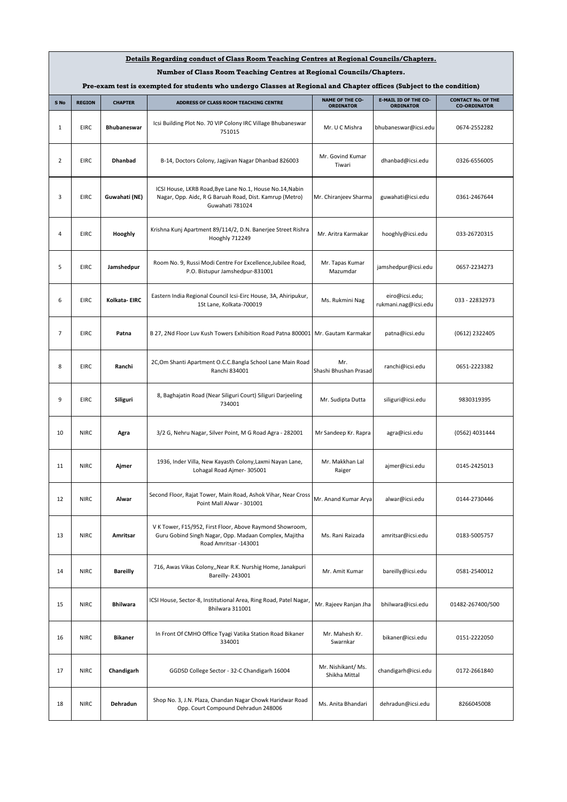| Details Regarding conduct of Class Room Teaching Centres at Regional Councils/Chapters.                               |               |                    |                                                                                                                                            |                                            |                                                 |                                                  |  |
|-----------------------------------------------------------------------------------------------------------------------|---------------|--------------------|--------------------------------------------------------------------------------------------------------------------------------------------|--------------------------------------------|-------------------------------------------------|--------------------------------------------------|--|
| Number of Class Room Teaching Centres at Regional Councils/Chapters.                                                  |               |                    |                                                                                                                                            |                                            |                                                 |                                                  |  |
| Pre-exam test is exempted for students who undergo Classes at Regional and Chapter offices (Subject to the condition) |               |                    |                                                                                                                                            |                                            |                                                 |                                                  |  |
| S No                                                                                                                  | <b>REGION</b> | <b>CHAPTER</b>     | ADDRESS OF CLASS ROOM TEACHING CENTRE                                                                                                      | <b>NAME OF THE CO-</b><br><b>ORDINATOR</b> | <b>E-MAIL ID OF THE CO-</b><br><b>ORDINATOR</b> | <b>CONTACT No. OF THE</b><br><b>CO-ORDINATOR</b> |  |
| 1                                                                                                                     | <b>EIRC</b>   | <b>Bhubaneswar</b> | Icsi Building Plot No. 70 VIP Colony IRC Village Bhubaneswar<br>751015                                                                     | Mr. U C Mishra                             | bhubaneswar@icsi.edu                            | 0674-2552282                                     |  |
| $\overline{2}$                                                                                                        | <b>EIRC</b>   | <b>Dhanbad</b>     | B-14, Doctors Colony, Jagjivan Nagar Dhanbad 826003                                                                                        | Mr. Govind Kumar<br>Tiwari                 | dhanbad@icsi.edu                                | 0326-6556005                                     |  |
| 3                                                                                                                     | <b>EIRC</b>   | Guwahati (NE)      | ICSI House, LKRB Road, Bye Lane No.1, House No.14, Nabin<br>Nagar, Opp. Aidc, R G Baruah Road, Dist. Kamrup (Metro)<br>Guwahati 781024     | Mr. Chiranjeev Sharma                      | guwahati@icsi.edu                               | 0361-2467644                                     |  |
| 4                                                                                                                     | EIRC          | Hooghly            | Krishna Kunj Apartment 89/114/2, D.N. Banerjee Street Rishra<br><b>Hooghly 712249</b>                                                      | Mr. Aritra Karmakar                        | hooghly@icsi.edu                                | 033-26720315                                     |  |
| 5                                                                                                                     | <b>EIRC</b>   | Jamshedpur         | Room No. 9, Russi Modi Centre For Excellence, Jubilee Road,<br>P.O. Bistupur Jamshedpur-831001                                             | Mr. Tapas Kumar<br>Mazumdar                | jamshedpur@icsi.edu                             | 0657-2234273                                     |  |
| 6                                                                                                                     | <b>EIRC</b>   | Kolkata-EIRC       | Eastern India Regional Council Icsi-Eirc House, 3A, Ahiripukur,<br>1St Lane, Kolkata-700019                                                | Ms. Rukmini Nag                            | eiro@icsi.edu;<br>rukmani.nag@icsi.edu          | 033 - 22832973                                   |  |
| $\overline{7}$                                                                                                        | <b>EIRC</b>   | Patna              | B 27, 2Nd Floor Luv Kush Towers Exhibition Road Patna 800001   Mr. Gautam Karmakar                                                         |                                            | patna@icsi.edu                                  | (0612) 2322405                                   |  |
| 8                                                                                                                     | EIRC          | Ranchi             | 2C,Om Shanti Apartment O.C.C.Bangla School Lane Main Road<br>Ranchi 834001                                                                 | Mr.<br>Shashi Bhushan Prasad               | ranchi@icsi.edu                                 | 0651-2223382                                     |  |
| 9                                                                                                                     | EIRC          | Siliguri           | 8, Baghajatin Road (Near Siliguri Court) Siliguri Darjeeling<br>734001                                                                     | Mr. Sudipta Dutta                          | siliguri@icsi.edu                               | 9830319395                                       |  |
| 10                                                                                                                    | <b>NIRC</b>   | Agra               | 3/2 G, Nehru Nagar, Silver Point, M G Road Agra - 282001                                                                                   | Mr Sandeep Kr. Rapra                       | agra@icsi.edu                                   | (0562) 4031444                                   |  |
| 11                                                                                                                    | <b>NIRC</b>   | Ajmer              | 1936, Inder Villa, New Kayasth Colony, Laxmi Nayan Lane,<br>Lohagal Road Ajmer-305001                                                      | Mr. Makkhan Lal<br>Raiger                  | ajmer@icsi.edu                                  | 0145-2425013                                     |  |
| 12                                                                                                                    | <b>NIRC</b>   | Alwar              | Second Floor, Rajat Tower, Main Road, Ashok Vihar, Near Cross<br>Point Mall Alwar - 301001                                                 | Mr. Anand Kumar Arya                       | alwar@icsi.edu                                  | 0144-2730446                                     |  |
| 13                                                                                                                    | <b>NIRC</b>   | Amritsar           | V K Tower, F15/952, First Floor, Above Raymond Showroom,<br>Guru Gobind Singh Nagar, Opp. Madaan Complex, Majitha<br>Road Amritsar -143001 | Ms. Rani Raizada                           | amritsar@icsi.edu                               | 0183-5005757                                     |  |
| 14                                                                                                                    | <b>NIRC</b>   | <b>Bareilly</b>    | 716, Awas Vikas Colony,, Near R.K. Nurshig Home, Janakpuri<br>Bareilly-243001                                                              | Mr. Amit Kumar                             | bareilly@icsi.edu                               | 0581-2540012                                     |  |
| 15                                                                                                                    | <b>NIRC</b>   | <b>Bhilwara</b>    | ICSI House, Sector-8, Institutional Area, Ring Road, Patel Nagar,<br>Bhilwara 311001                                                       | Mr. Rajeev Ranjan Jha                      | bhilwara@icsi.edu                               | 01482-267400/500                                 |  |
| 16                                                                                                                    | <b>NIRC</b>   | <b>Bikaner</b>     | In Front Of CMHO Office Tyagi Vatika Station Road Bikaner<br>334001                                                                        | Mr. Mahesh Kr.<br>Swarnkar                 | bikaner@icsi.edu                                | 0151-2222050                                     |  |
| 17                                                                                                                    | <b>NIRC</b>   | Chandigarh         | GGDSD College Sector - 32-C Chandigarh 16004                                                                                               | Mr. Nishikant/Ms.<br>Shikha Mittal         | chandigarh@icsi.edu                             | 0172-2661840                                     |  |
| 18                                                                                                                    | <b>NIRC</b>   | Dehradun           | Shop No. 3, J.N. Plaza, Chandan Nagar Chowk Haridwar Road<br>Opp. Court Compound Dehradun 248006                                           | Ms. Anita Bhandari                         | dehradun@icsi.edu                               | 8266045008                                       |  |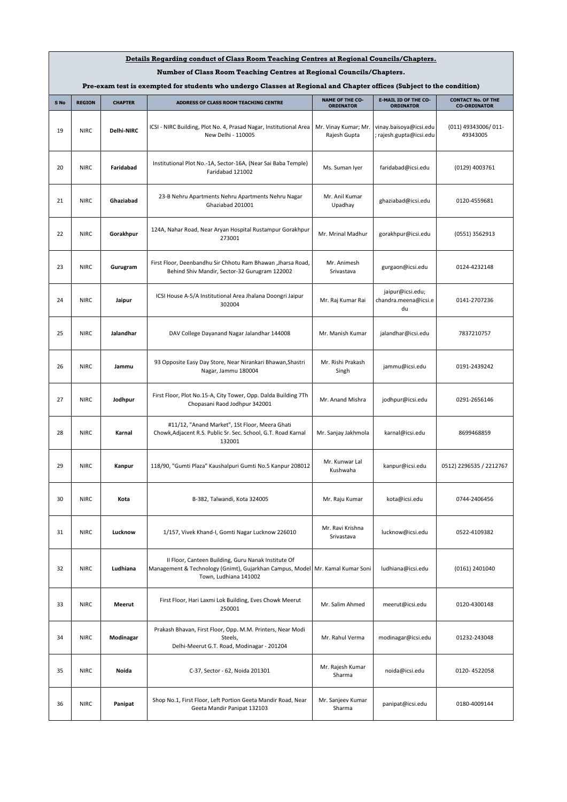| Details Regarding conduct of Class Room Teaching Centres at Regional Councils/Chapters.<br>Number of Class Room Teaching Centres at Regional Councils/Chapters. |                                                                                    |                |                                                                                                                                          |                                      |                                                 |                                 |  |
|-----------------------------------------------------------------------------------------------------------------------------------------------------------------|------------------------------------------------------------------------------------|----------------|------------------------------------------------------------------------------------------------------------------------------------------|--------------------------------------|-------------------------------------------------|---------------------------------|--|
| Pre-exam test is exempted for students who undergo Classes at Regional and Chapter offices (Subject to the condition)                                           |                                                                                    |                |                                                                                                                                          |                                      |                                                 |                                 |  |
|                                                                                                                                                                 | <b>E-MAIL ID OF THE CO-</b><br><b>NAME OF THE CO-</b><br><b>CONTACT No. OF THE</b> |                |                                                                                                                                          |                                      |                                                 |                                 |  |
| S No                                                                                                                                                            | <b>REGION</b>                                                                      | <b>CHAPTER</b> | ADDRESS OF CLASS ROOM TEACHING CENTRE                                                                                                    | <b>ORDINATOR</b>                     | <b>ORDINATOR</b>                                | <b>CO-ORDINATOR</b>             |  |
| 19                                                                                                                                                              | <b>NIRC</b>                                                                        | Delhi-NIRC     | ICSI - NIRC Building, Plot No. 4, Prasad Nagar, Institutional Area<br>New Delhi - 110005                                                 | Mr. Vinay Kumar; Mr.<br>Rajesh Gupta | vinay.baisoya@icsi.edu<br>rajesh.gupta@icsi.edu | (011) 49343006/011-<br>49343005 |  |
| 20                                                                                                                                                              | <b>NIRC</b>                                                                        | Faridabad      | Institutional Plot No.-1A, Sector-16A, (Near Sai Baba Temple)<br>Faridabad 121002                                                        | Ms. Suman Iyer                       | faridabad@icsi.edu                              | (0129) 4003761                  |  |
| 21                                                                                                                                                              | <b>NIRC</b>                                                                        | Ghaziabad      | 23-B Nehru Apartments Nehru Apartments Nehru Nagar<br>Ghaziabad 201001                                                                   | Mr. Anil Kumar<br>Upadhay            | ghaziabad@icsi.edu                              | 0120-4559681                    |  |
| 22                                                                                                                                                              | <b>NIRC</b>                                                                        | Gorakhpur      | 124A, Nahar Road, Near Aryan Hospital Rustampur Gorakhpur<br>273001                                                                      | Mr. Mrinal Madhur                    | gorakhpur@icsi.edu                              | (0551) 3562913                  |  |
| 23                                                                                                                                                              | <b>NIRC</b>                                                                        | Gurugram       | First Floor, Deenbandhu Sir Chhotu Ram Bhawan , Jharsa Road,<br>Behind Shiv Mandir, Sector-32 Gurugram 122002                            | Mr. Animesh<br>Srivastava            | gurgaon@icsi.edu                                | 0124-4232148                    |  |
| 24                                                                                                                                                              | <b>NIRC</b>                                                                        | Jaipur         | ICSI House A-5/A Institutional Area Jhalana Doongri Jaipur<br>302004                                                                     | Mr. Raj Kumar Rai                    | jaipur@icsi.edu;<br>chandra.meena@icsi.e<br>du  | 0141-2707236                    |  |
| 25                                                                                                                                                              | <b>NIRC</b>                                                                        | Jalandhar      | DAV College Dayanand Nagar Jalandhar 144008                                                                                              | Mr. Manish Kumar                     | jalandhar@icsi.edu                              | 7837210757                      |  |
| 26                                                                                                                                                              | <b>NIRC</b>                                                                        | Jammu          | 93 Opposite Easy Day Store, Near Nirankari Bhawan, Shastri<br>Nagar, Jammu 180004                                                        | Mr. Rishi Prakash<br>Singh           | jammu@icsi.edu                                  | 0191-2439242                    |  |
| 27                                                                                                                                                              | <b>NIRC</b>                                                                        | Jodhpur        | First Floor, Plot No.15-A, City Tower, Opp. Dalda Building 7Th<br>Chopasani Raod Jodhpur 342001                                          | Mr. Anand Mishra                     | jodhpur@icsi.edu                                | 0291-2656146                    |  |
| 28                                                                                                                                                              | <b>NIRC</b>                                                                        | Karnal         | #11/12, "Anand Market", 1St Floor, Meera Ghati<br>Chowk, Adjacent R.S. Public Sr. Sec. School, G.T. Road Karnal<br>132001                | Mr. Sanjay Jakhmola                  | karnal@icsi.edu                                 | 8699468859                      |  |
| 29                                                                                                                                                              | <b>NIRC</b>                                                                        | Kanpur         | 118/90, "Gumti Plaza" Kaushalpuri Gumti No.5 Kanpur 208012                                                                               | Mr. Kunwar Lal<br>Kushwaha           | kanpur@icsi.edu                                 | 0512) 2296535 / 2212767         |  |
| 30                                                                                                                                                              | <b>NIRC</b>                                                                        | Kota           | B-382, Talwandi, Kota 324005                                                                                                             | Mr. Raju Kumar                       | kota@icsi.edu                                   | 0744-2406456                    |  |
| 31                                                                                                                                                              | <b>NIRC</b>                                                                        | Lucknow        | 1/157, Vivek Khand-I, Gomti Nagar Lucknow 226010                                                                                         | Mr. Ravi Krishna<br>Srivastava       | lucknow@icsi.edu                                | 0522-4109382                    |  |
| 32                                                                                                                                                              | <b>NIRC</b>                                                                        | Ludhiana       | II Floor, Canteen Building, Guru Nanak Institute Of<br>Management & Technology (Gnimt), Gujarkhan Campus, Model<br>Town, Ludhiana 141002 | Mr. Kamal Kumar Soni                 | ludhiana@icsi.edu                               | (0161) 2401040                  |  |
| 33                                                                                                                                                              | <b>NIRC</b>                                                                        | Meerut         | First Floor, Hari Laxmi Lok Building, Eves Chowk Meerut<br>250001                                                                        | Mr. Salim Ahmed                      | meerut@icsi.edu                                 | 0120-4300148                    |  |
| 34                                                                                                                                                              | <b>NIRC</b>                                                                        | Modinagar      | Prakash Bhavan, First Floor, Opp. M.M. Printers, Near Modi<br>Steels,<br>Delhi-Meerut G.T. Road, Modinagar - 201204                      | Mr. Rahul Verma                      | modinagar@icsi.edu                              | 01232-243048                    |  |
| 35                                                                                                                                                              | <b>NIRC</b>                                                                        | Noida          | C-37, Sector - 62, Noida 201301                                                                                                          | Mr. Rajesh Kumar<br>Sharma           | noida@icsi.edu                                  | 0120-4522058                    |  |
| 36                                                                                                                                                              | <b>NIRC</b>                                                                        | Panipat        | Shop No.1, First Floor, Left Portion Geeta Mandir Road, Near<br>Geeta Mandir Panipat 132103                                              | Mr. Sanjeev Kumar<br>Sharma          | panipat@icsi.edu                                | 0180-4009144                    |  |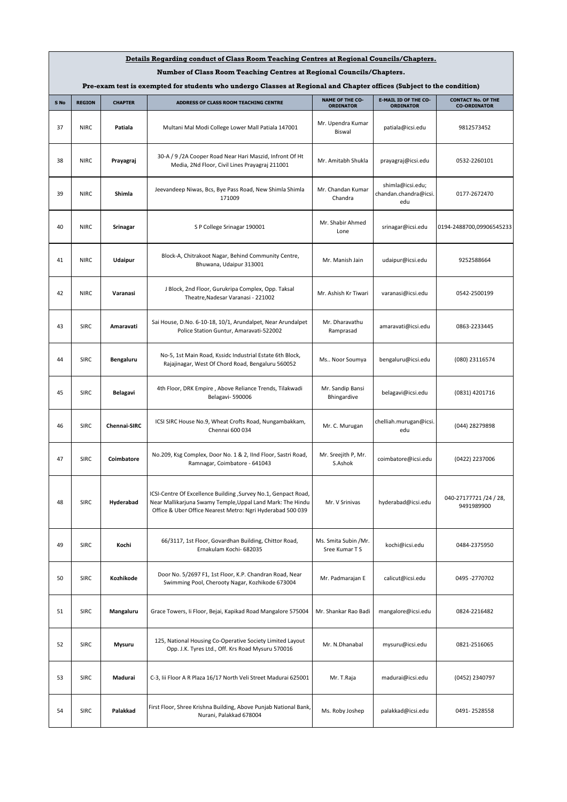| Details Regarding conduct of Class Room Teaching Centres at Regional Councils/Chapters.                               |               |                |                                                                                                                                                                                            |                                            |                                                  |                                                  |  |
|-----------------------------------------------------------------------------------------------------------------------|---------------|----------------|--------------------------------------------------------------------------------------------------------------------------------------------------------------------------------------------|--------------------------------------------|--------------------------------------------------|--------------------------------------------------|--|
| Number of Class Room Teaching Centres at Regional Councils/Chapters.                                                  |               |                |                                                                                                                                                                                            |                                            |                                                  |                                                  |  |
| Pre-exam test is exempted for students who undergo Classes at Regional and Chapter offices (Subject to the condition) |               |                |                                                                                                                                                                                            |                                            |                                                  |                                                  |  |
| S No                                                                                                                  | <b>REGION</b> | <b>CHAPTER</b> | ADDRESS OF CLASS ROOM TEACHING CENTRE                                                                                                                                                      | <b>NAME OF THE CO-</b><br><b>ORDINATOR</b> | <b>E-MAIL ID OF THE CO-</b><br><b>ORDINATOR</b>  | <b>CONTACT No. OF THE</b><br><b>CO-ORDINATOR</b> |  |
| 37                                                                                                                    | <b>NIRC</b>   | Patiala        | Multani Mal Modi College Lower Mall Patiala 147001                                                                                                                                         | Mr. Upendra Kumar<br>Biswal                | patiala@icsi.edu                                 | 9812573452                                       |  |
| 38                                                                                                                    | <b>NIRC</b>   | Prayagraj      | 30-A / 9 /2A Cooper Road Near Hari Maszid, Infront Of Ht<br>Media, 2Nd Floor, Civil Lines Prayagraj 211001                                                                                 | Mr. Amitabh Shukla                         | prayagraj@icsi.edu                               | 0532-2260101                                     |  |
| 39                                                                                                                    | <b>NIRC</b>   | Shimla         | Jeevandeep Niwas, Bcs, Bye Pass Road, New Shimla Shimla<br>171009                                                                                                                          | Mr. Chandan Kumar<br>Chandra               | shimla@icsi.edu;<br>chandan.chandra@icsi.<br>edu | 0177-2672470                                     |  |
| 40                                                                                                                    | <b>NIRC</b>   | Srinagar       | S P College Srinagar 190001                                                                                                                                                                | Mr. Shabir Ahmed<br>Lone                   | srinagar@icsi.edu                                | 0194-2488700,09906545233                         |  |
| 41                                                                                                                    | <b>NIRC</b>   | Udaipur        | Block-A, Chitrakoot Nagar, Behind Community Centre,<br>Bhuwana, Udaipur 313001                                                                                                             | Mr. Manish Jain                            | udaipur@icsi.edu                                 | 9252588664                                       |  |
| 42                                                                                                                    | <b>NIRC</b>   | Varanasi       | J Block, 2nd Floor, Gurukripa Complex, Opp. Taksal<br>Theatre, Nadesar Varanasi - 221002                                                                                                   | Mr. Ashish Kr Tiwari                       | varanasi@icsi.edu                                | 0542-2500199                                     |  |
| 43                                                                                                                    | <b>SIRC</b>   | Amaravati      | Sai House, D.No. 6-10-18, 10/1, Arundalpet, Near Arundalpet<br>Police Station Guntur, Amaravati-522002                                                                                     | Mr. Dharavathu<br>Ramprasad                | amaravati@icsi.edu                               | 0863-2233445                                     |  |
| 44                                                                                                                    | <b>SIRC</b>   | Bengaluru      | No-5, 1st Main Road, Kssidc Industrial Estate 6th Block,<br>Rajajinagar, West Of Chord Road, Bengaluru 560052                                                                              | Ms Noor Soumya                             | bengaluru@icsi.edu                               | (080) 23116574                                   |  |
| 45                                                                                                                    | <b>SIRC</b>   | Belagavi       | 4th Floor, DRK Empire, Above Reliance Trends, Tilakwadi<br>Belagavi-590006                                                                                                                 | Mr. Sandip Bansi<br>Bhingardive            | belagavi@icsi.edu                                | (0831) 4201716                                   |  |
| 46                                                                                                                    | <b>SIRC</b>   | Chennai-SIRC   | ICSI SIRC House No.9, Wheat Crofts Road, Nungambakkam,<br>Chennai 600 034                                                                                                                  | Mr. C. Murugan                             | chelliah.murugan@icsi.<br>edu                    | (044) 28279898                                   |  |
| 47                                                                                                                    | <b>SIRC</b>   | Coimbatore     | No.209, Ksg Complex, Door No. 1 & 2, IInd Floor, Sastri Road,<br>Ramnagar, Coimbatore - 641043                                                                                             | Mr. Sreejith P, Mr.<br>S.Ashok             | coimbatore@icsi.edu                              | (0422) 2237006                                   |  |
| 48                                                                                                                    | <b>SIRC</b>   | Hyderabad      | ICSI-Centre Of Excellence Building, Survey No.1, Genpact Road,<br>Near Mallikarjuna Swamy Temple, Uppal Land Mark: The Hindu<br>Office & Uber Office Nearest Metro: Ngri Hyderabad 500 039 | Mr. V Srinivas                             | hyderabad@icsi.edu                               | 040-27177721/24/28,<br>9491989900                |  |
| 49                                                                                                                    | <b>SIRC</b>   | Kochi          | 66/3117, 1st Floor, Govardhan Building, Chittor Road,<br>Ernakulam Kochi- 682035                                                                                                           | Ms. Smita Subin /Mr.<br>Sree Kumar T S     | kochi@icsi.edu                                   | 0484-2375950                                     |  |
| 50                                                                                                                    | <b>SIRC</b>   | Kozhikode      | Door No. 5/2697 F1, 1st Floor, K.P. Chandran Road, Near<br>Swimming Pool, Cherooty Nagar, Kozhikode 673004                                                                                 | Mr. Padmarajan E                           | calicut@icsi.edu                                 | 0495 -2770702                                    |  |
| 51                                                                                                                    | <b>SIRC</b>   | Mangaluru      | Grace Towers, Ii Floor, Bejai, Kapikad Road Mangalore 575004                                                                                                                               | Mr. Shankar Rao Badi                       | mangalore@icsi.edu                               | 0824-2216482                                     |  |
| 52                                                                                                                    | <b>SIRC</b>   | <b>Mysuru</b>  | 125, National Housing Co-Operative Society Limited Layout<br>Opp. J.K. Tyres Ltd., Off. Krs Road Mysuru 570016                                                                             | Mr. N.Dhanabal                             | mysuru@icsi.edu                                  | 0821-2516065                                     |  |
| 53                                                                                                                    | <b>SIRC</b>   | Madurai        | C-3, Iii Floor A R Plaza 16/17 North Veli Street Madurai 625001                                                                                                                            | Mr. T.Raja                                 | madurai@icsi.edu                                 | (0452) 2340797                                   |  |
| 54                                                                                                                    | <b>SIRC</b>   | Palakkad       | First Floor, Shree Krishna Building, Above Punjab National Bank,<br>Nurani, Palakkad 678004                                                                                                | Ms. Roby Joshep                            | palakkad@icsi.edu                                | 0491-2528558                                     |  |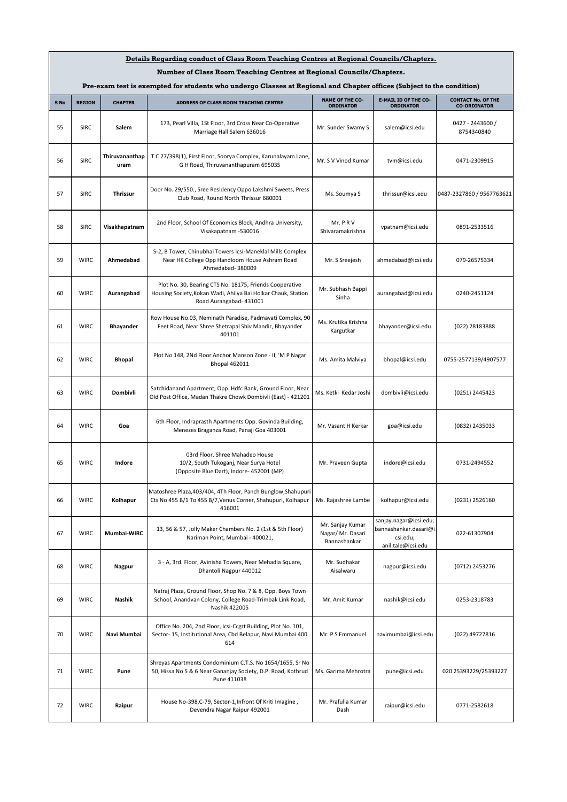| Details Regarding conduct of Class Room Teaching Centres at Regional Councils/Chapters.                               |               |                        |                                                                                                                                                     |                                                       |                                                                                   |                                                  |
|-----------------------------------------------------------------------------------------------------------------------|---------------|------------------------|-----------------------------------------------------------------------------------------------------------------------------------------------------|-------------------------------------------------------|-----------------------------------------------------------------------------------|--------------------------------------------------|
| Number of Class Room Teaching Centres at Regional Councils/Chapters.                                                  |               |                        |                                                                                                                                                     |                                                       |                                                                                   |                                                  |
| Pre-exam test is exempted for students who undergo Classes at Regional and Chapter offices (Subject to the condition) |               |                        |                                                                                                                                                     |                                                       |                                                                                   |                                                  |
| S No                                                                                                                  | <b>REGION</b> | <b>CHAPTER</b>         | ADDRESS OF CLASS ROOM TEACHING CENTRE                                                                                                               | <b>NAME OF THE CO-</b><br><b>ORDINATOR</b>            | <b>E-MAIL ID OF THE CO-</b><br><b>ORDINATOR</b>                                   | <b>CONTACT No. OF THE</b><br><b>CO-ORDINATOR</b> |
| 55                                                                                                                    | <b>SIRC</b>   | Salem                  | 173, Pearl Villa, 1St Floor, 3rd Cross Near Co-Operative<br>Marriage Hall Salem 636016                                                              | Mr. Sunder Swamy S                                    | salem@icsi.edu                                                                    | 0427 - 2443600 /<br>8754340840                   |
| 56                                                                                                                    | <b>SIRC</b>   | Thiruvananthap<br>uram | T.C 27/398(1), First Floor, Soorya Complex, Karunalayam Lane,<br>G H Road, Thiruvananthapuram 695035                                                | Mr. S V Vinod Kumar                                   | tvm@icsi.edu                                                                      | 0471-2309915                                     |
| 57                                                                                                                    | <b>SIRC</b>   | <b>Thrissur</b>        | Door No. 29/550., Sree Residency Oppo Lakshmi Sweets, Press<br>Club Road, Round North Thrissur 680001                                               | Ms. Soumya S                                          | thrissur@icsi.edu                                                                 | 0487-2327860 / 9567763621                        |
| 58                                                                                                                    | <b>SIRC</b>   | Visakhapatnam          | 2nd Floor, School Of Economics Block, Andhra University,<br>Visakapatnam - 530016                                                                   | Mr. PRV<br>Shivaramakrishna                           | vpatnam@icsi.edu                                                                  | 0891-2533516                                     |
| 59                                                                                                                    | <b>WIRC</b>   | Ahmedabad              | S-2, B Tower, Chinubhai Towers Icsi-Maneklal Mills Complex<br>Near HK College Opp Handloom House Ashram Road<br>Ahmedabad- 380009                   | Mr. S Sreejesh                                        | ahmedabad@icsi.edu                                                                | 079-26575334                                     |
| 60                                                                                                                    | <b>WIRC</b>   | Aurangabad             | Plot No. 30, Bearing CTS No. 18175, Friends Cooperative<br>Housing Society, Kokan Wadi, Ahilya Bai Holkar Chauk, Station<br>Road Aurangabad- 431001 | Mr. Subhash Bappi<br>Sinha                            | aurangabad@icsi.edu                                                               | 0240-2451124                                     |
| 61                                                                                                                    | <b>WIRC</b>   | <b>Bhayander</b>       | Row House No.03, Neminath Paradise, Padmavati Complex, 90<br>Feet Road, Near Shree Shetrapal Shiv Mandir, Bhayander<br>401101                       | Ms. Krutika Krishna<br>Kargutkar                      | bhayander@icsi.edu                                                                | (022) 28183888                                   |
| 62                                                                                                                    | <b>WIRC</b>   | <b>Bhopal</b>          | Plot No 148, 2Nd Floor Anchor Manson Zone - II, 'M P Nagar<br><b>Bhopal 462011</b>                                                                  | Ms. Amita Malviya                                     | bhopal@icsi.edu                                                                   | 0755-2577139/4907577                             |
| 63                                                                                                                    | <b>WIRC</b>   | Dombivli               | Satchidanand Apartment, Opp. Hdfc Bank, Ground Floor, Near<br>Old Post Office, Madan Thakre Chowk Dombivli (East) - 421201                          | Ms. Ketki Kedar Joshi                                 | dombivli@icsi.edu                                                                 | (0251) 2445423                                   |
| 64                                                                                                                    | <b>WIRC</b>   | Goa                    | 6th Floor, Indraprasth Apartments Opp. Govinda Building,<br>Menezes Braganza Road, Panaji Goa 403001                                                | Mr. Vasant H Kerkar                                   | goa@icsi.edu                                                                      | (0832) 2435033                                   |
| 65                                                                                                                    | <b>WIRC</b>   | Indore                 | 03rd Floor, Shree Mahadeo House<br>10/2, South Tukoganj, Near Surya Hotel<br>(Opposite Blue Dart), Indore- 452001 (MP)                              | Mr. Praveen Gupta                                     | indore@icsi.edu                                                                   | 0731-2494552                                     |
| 66                                                                                                                    | <b>WIRC</b>   | Kolhapur               | Matoshree Plaza, 403/404, 4Th Floor, Panch Bunglow, Shahupuri<br>Cts No 455 B/1 To 455 B/7, Venus Corner, Shahupuri, Kolhapur<br>416001             | Ms. Rajashree Lambe                                   | kolhapur@icsi.edu                                                                 | (0231) 2526160                                   |
| 67                                                                                                                    | <b>WIRC</b>   | Mumbai-WIRC            | 13, 56 & 57, Jolly Maker Chambers No. 2 (1st & 5th Floor)<br>Nariman Point, Mumbai - 400021,                                                        | Mr. Sanjay Kumar<br>Nagar/ Mr. Dasari<br>Bannashankar | sanjay.nagar@icsi.edu;<br>bannashankar.dasari@i<br>csi.edu;<br>anil.tale@icsi.edu | 022-61307904                                     |
| 68                                                                                                                    | <b>WIRC</b>   | Nagpur                 | 3 - A, 3rd. Floor, Avinisha Towers, Near Mehadia Square,<br>Dhantoli Nagpur 440012                                                                  | Mr. Sudhakar<br>Aisalwaru                             | nagpur@icsi.edu                                                                   | (0712) 2453276                                   |
| 69                                                                                                                    | <b>WIRC</b>   | <b>Nashik</b>          | Natraj Plaza, Ground Floor, Shop No. 7 & 8, Opp. Boys Town<br>School, Anandvan Colony, College Road-Trimbak Link Road,<br>Nashik 422005             | Mr. Amit Kumar                                        | nashik@icsi.edu                                                                   | 0253-2318783                                     |
| 70                                                                                                                    | <b>WIRC</b>   | Navi Mumbai            | Office No. 204, 2nd Floor, Icsi-Ccgrt Building, Plot No. 101,<br>Sector-15, Institutional Area, Cbd Belapur, Navi Mumbai 400<br>614                 | Mr. P S Emmanuel                                      | navimumbai@icsi.edu                                                               | (022) 49727816                                   |
| 71                                                                                                                    | <b>WIRC</b>   | Pune                   | Shreyas Apartments Condominium C.T.S. No 1654/1655, Sr No<br>50, Hissa No 5 & 6 Near Gananjay Society, D.P. Road, Kothrud<br>Pune 411038            | Ms. Garima Mehrotra                                   | pune@icsi.edu                                                                     | 020 25393229/25393227                            |
| 72                                                                                                                    | <b>WIRC</b>   | Raipur                 | House No-398, C-79, Sector-1, Infront Of Kriti Imagine,<br>Devendra Nagar Raipur 492001                                                             | Mr. Prafulla Kumar<br>Dash                            | raipur@icsi.edu                                                                   | 0771-2582618                                     |